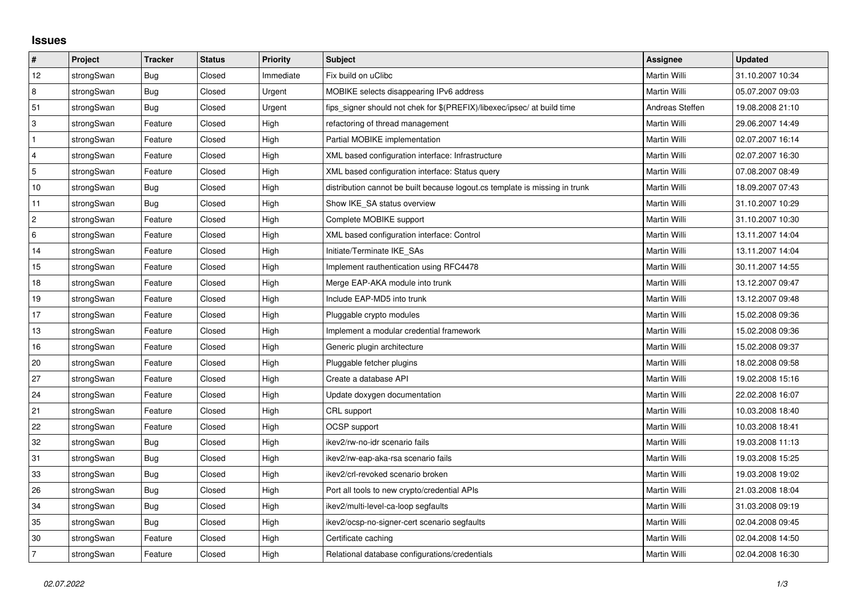## **Issues**

| #               | Project    | <b>Tracker</b> | <b>Status</b> | Priority  | Subject                                                                     | <b>Assignee</b> | <b>Updated</b>   |
|-----------------|------------|----------------|---------------|-----------|-----------------------------------------------------------------------------|-----------------|------------------|
| 12              | strongSwan | <b>Bug</b>     | Closed        | Immediate | Fix build on uClibc                                                         | Martin Willi    | 31.10.2007 10:34 |
| 8               | strongSwan | Bug            | Closed        | Urgent    | MOBIKE selects disappearing IPv6 address                                    | Martin Willi    | 05.07.2007 09:03 |
| 51              | strongSwan | Bug            | Closed        | Urgent    | fips_signer should not chek for \$(PREFIX)/libexec/ipsec/ at build time     | Andreas Steffen | 19.08.2008 21:10 |
| 3               | strongSwan | Feature        | Closed        | High      | refactoring of thread management                                            | Martin Willi    | 29.06.2007 14:49 |
| $\mathbf{1}$    | strongSwan | Feature        | Closed        | High      | Partial MOBIKE implementation                                               | Martin Willi    | 02.07.2007 16:14 |
| $\overline{4}$  | strongSwan | Feature        | Closed        | High      | XML based configuration interface: Infrastructure                           | Martin Willi    | 02.07.2007 16:30 |
| 5               | strongSwan | Feature        | Closed        | High      | XML based configuration interface: Status query                             | Martin Willi    | 07.08.2007 08:49 |
| $10$            | strongSwan | <b>Bug</b>     | Closed        | High      | distribution cannot be built because logout.cs template is missing in trunk | Martin Willi    | 18.09.2007 07:43 |
| 11              | strongSwan | Bug            | Closed        | High      | Show IKE SA status overview                                                 | Martin Willi    | 31.10.2007 10:29 |
| $\overline{2}$  | strongSwan | Feature        | Closed        | High      | Complete MOBIKE support                                                     | Martin Willi    | 31.10.2007 10:30 |
| $6\phantom{a}6$ | strongSwan | Feature        | Closed        | High      | XML based configuration interface: Control                                  | Martin Willi    | 13.11.2007 14:04 |
| 14              | strongSwan | Feature        | Closed        | High      | Initiate/Terminate IKE SAs                                                  | Martin Willi    | 13.11.2007 14:04 |
| 15              | strongSwan | Feature        | Closed        | High      | Implement rauthentication using RFC4478                                     | Martin Willi    | 30.11.2007 14:55 |
| 18              | strongSwan | Feature        | Closed        | High      | Merge EAP-AKA module into trunk                                             | Martin Willi    | 13.12.2007 09:47 |
| 19              | strongSwan | Feature        | Closed        | High      | Include EAP-MD5 into trunk                                                  | Martin Willi    | 13.12.2007 09:48 |
| 17              | strongSwan | Feature        | Closed        | High      | Pluggable crypto modules                                                    | Martin Willi    | 15.02.2008 09:36 |
| 13              | strongSwan | Feature        | Closed        | High      | Implement a modular credential framework                                    | Martin Willi    | 15.02.2008 09:36 |
| 16              | strongSwan | Feature        | Closed        | High      | Generic plugin architecture                                                 | Martin Willi    | 15.02.2008 09:37 |
| 20              | strongSwan | Feature        | Closed        | High      | Pluggable fetcher plugins                                                   | Martin Willi    | 18.02.2008 09:58 |
| 27              | strongSwan | Feature        | Closed        | High      | Create a database API                                                       | Martin Willi    | 19.02.2008 15:16 |
| 24              | strongSwan | Feature        | Closed        | High      | Update doxygen documentation                                                | Martin Willi    | 22.02.2008 16:07 |
| 21              | strongSwan | Feature        | Closed        | High      | CRL support                                                                 | Martin Willi    | 10.03.2008 18:40 |
| 22              | strongSwan | Feature        | Closed        | High      | OCSP support                                                                | Martin Willi    | 10.03.2008 18:41 |
| 32              | strongSwan | <b>Bug</b>     | Closed        | High      | ikev2/rw-no-idr scenario fails                                              | Martin Willi    | 19.03.2008 11:13 |
| 31              | strongSwan | Bug            | Closed        | High      | ikev2/rw-eap-aka-rsa scenario fails                                         | Martin Willi    | 19.03.2008 15:25 |
| 33              | strongSwan | Bug            | Closed        | High      | ikev2/crl-revoked scenario broken                                           | Martin Willi    | 19.03.2008 19:02 |
| 26              | strongSwan | Bug            | Closed        | High      | Port all tools to new crypto/credential APIs                                | Martin Willi    | 21.03.2008 18:04 |
| 34              | strongSwan | <b>Bug</b>     | Closed        | High      | ikev2/multi-level-ca-loop segfaults                                         | Martin Willi    | 31.03.2008 09:19 |
| 35              | strongSwan | Bug            | Closed        | High      | ikev2/ocsp-no-signer-cert scenario segfaults                                | Martin Willi    | 02.04.2008 09:45 |
| 30              | strongSwan | Feature        | Closed        | High      | Certificate caching                                                         | Martin Willi    | 02.04.2008 14:50 |
| 7               | strongSwan | Feature        | Closed        | High      | Relational database configurations/credentials                              | Martin Willi    | 02.04.2008 16:30 |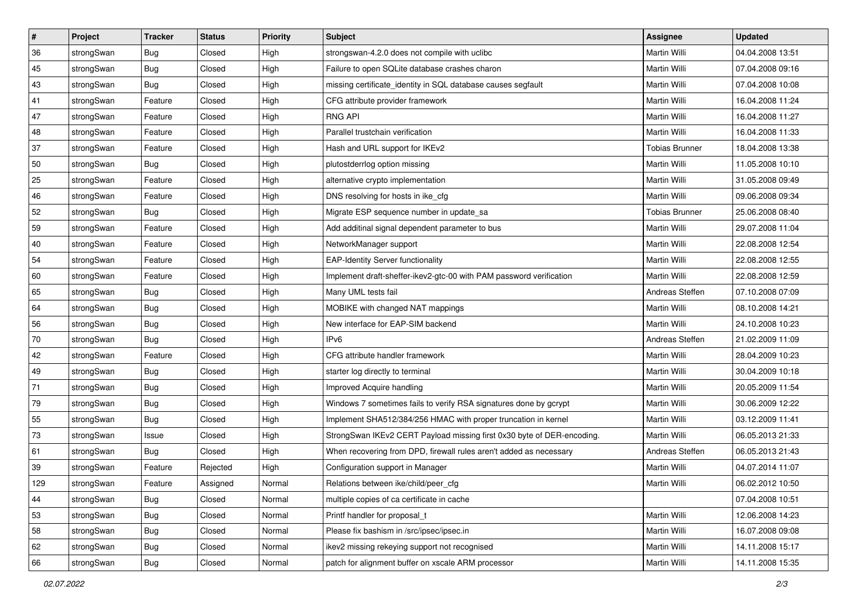| ∦   | Project    | <b>Tracker</b> | <b>Status</b> | <b>Priority</b> | <b>Subject</b>                                                         | <b>Assignee</b>       | <b>Updated</b>   |
|-----|------------|----------------|---------------|-----------------|------------------------------------------------------------------------|-----------------------|------------------|
| 36  | strongSwan | <b>Bug</b>     | Closed        | High            | strongswan-4.2.0 does not compile with uclibc                          | Martin Willi          | 04.04.2008 13:51 |
| 45  | strongSwan | Bug            | Closed        | High            | Failure to open SQLite database crashes charon                         | Martin Willi          | 07.04.2008 09:16 |
| 43  | strongSwan | Bug            | Closed        | High            | missing certificate_identity in SQL database causes segfault           | Martin Willi          | 07.04.2008 10:08 |
| 41  | strongSwan | Feature        | Closed        | High            | CFG attribute provider framework                                       | Martin Willi          | 16.04.2008 11:24 |
| 47  | strongSwan | Feature        | Closed        | High            | <b>RNG API</b>                                                         | <b>Martin Willi</b>   | 16.04.2008 11:27 |
| 48  | strongSwan | Feature        | Closed        | High            | Parallel trustchain verification                                       | Martin Willi          | 16.04.2008 11:33 |
| 37  | strongSwan | Feature        | Closed        | High            | Hash and URL support for IKEv2                                         | <b>Tobias Brunner</b> | 18.04.2008 13:38 |
| 50  | strongSwan | Bug            | Closed        | High            | plutostderrlog option missing                                          | Martin Willi          | 11.05.2008 10:10 |
| 25  | strongSwan | Feature        | Closed        | High            | alternative crypto implementation                                      | Martin Willi          | 31.05.2008 09:49 |
| 46  | strongSwan | Feature        | Closed        | High            | DNS resolving for hosts in ike_cfg                                     | <b>Martin Willi</b>   | 09.06.2008 09:34 |
| 52  | strongSwan | Bug            | Closed        | High            | Migrate ESP sequence number in update_sa                               | <b>Tobias Brunner</b> | 25.06.2008 08:40 |
| 59  | strongSwan | Feature        | Closed        | High            | Add additinal signal dependent parameter to bus                        | Martin Willi          | 29.07.2008 11:04 |
| 40  | strongSwan | Feature        | Closed        | High            | NetworkManager support                                                 | <b>Martin Willi</b>   | 22.08.2008 12:54 |
| 54  | strongSwan | Feature        | Closed        | High            | <b>EAP-Identity Server functionality</b>                               | Martin Willi          | 22.08.2008 12:55 |
| 60  | strongSwan | Feature        | Closed        | High            | Implement draft-sheffer-ikev2-gtc-00 with PAM password verification    | Martin Willi          | 22.08.2008 12:59 |
| 65  | strongSwan | Bug            | Closed        | High            | Many UML tests fail                                                    | Andreas Steffen       | 07.10.2008 07:09 |
| 64  | strongSwan | Bug            | Closed        | High            | MOBIKE with changed NAT mappings                                       | <b>Martin Willi</b>   | 08.10.2008 14:21 |
| 56  | strongSwan | Bug            | Closed        | High            | New interface for EAP-SIM backend                                      | Martin Willi          | 24.10.2008 10:23 |
| 70  | strongSwan | <b>Bug</b>     | Closed        | High            | IP <sub>v6</sub>                                                       | Andreas Steffen       | 21.02.2009 11:09 |
| 42  | strongSwan | Feature        | Closed        | High            | CFG attribute handler framework                                        | Martin Willi          | 28.04.2009 10:23 |
| 49  | strongSwan | Bug            | Closed        | High            | starter log directly to terminal                                       | Martin Willi          | 30.04.2009 10:18 |
| 71  | strongSwan | Bug            | Closed        | High            | Improved Acquire handling                                              | Martin Willi          | 20.05.2009 11:54 |
| 79  | strongSwan | Bug            | Closed        | High            | Windows 7 sometimes fails to verify RSA signatures done by gcrypt      | Martin Willi          | 30.06.2009 12:22 |
| 55  | strongSwan | <b>Bug</b>     | Closed        | High            | Implement SHA512/384/256 HMAC with proper truncation in kernel         | Martin Willi          | 03.12.2009 11:41 |
| 73  | strongSwan | Issue          | Closed        | High            | StrongSwan IKEv2 CERT Payload missing first 0x30 byte of DER-encoding. | Martin Willi          | 06.05.2013 21:33 |
| 61  | strongSwan | Bug            | Closed        | High            | When recovering from DPD, firewall rules aren't added as necessary     | Andreas Steffen       | 06.05.2013 21:43 |
| 39  | strongSwan | Feature        | Rejected      | High            | Configuration support in Manager                                       | Martin Willi          | 04.07.2014 11:07 |
| 129 | strongSwan | Feature        | Assigned      | Normal          | Relations between ike/child/peer_cfg                                   | Martin Willi          | 06.02.2012 10:50 |
| 44  | strongSwan | <b>Bug</b>     | Closed        | Normal          | multiple copies of ca certificate in cache                             |                       | 07.04.2008 10:51 |
| 53  | strongSwan | Bug            | Closed        | Normal          | Printf handler for proposal_t                                          | Martin Willi          | 12.06.2008 14:23 |
| 58  | strongSwan | <b>Bug</b>     | Closed        | Normal          | Please fix bashism in /src/ipsec/ipsec.in                              | Martin Willi          | 16.07.2008 09:08 |
| 62  | strongSwan | Bug            | Closed        | Normal          | ikev2 missing rekeying support not recognised                          | Martin Willi          | 14.11.2008 15:17 |
| 66  | strongSwan | <b>Bug</b>     | Closed        | Normal          | patch for alignment buffer on xscale ARM processor                     | Martin Willi          | 14.11.2008 15:35 |